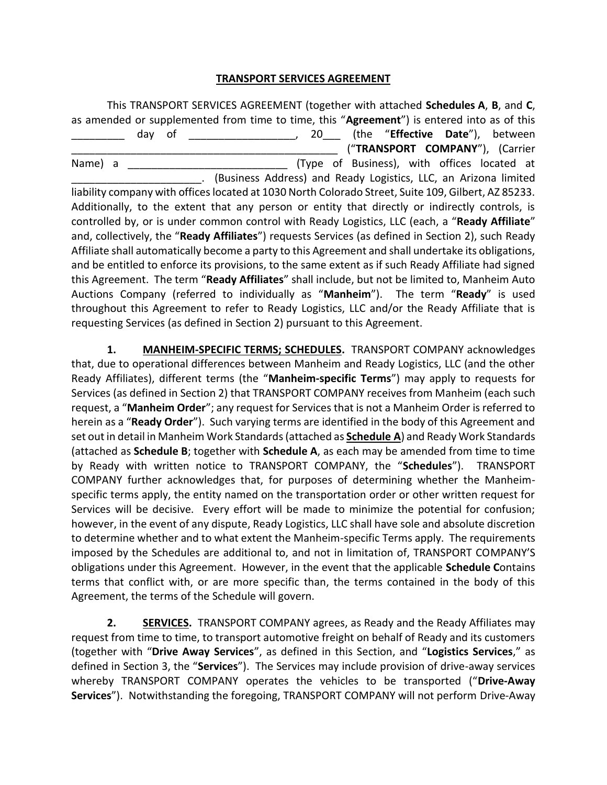### **TRANSPORT SERVICES AGREEMENT**

This TRANSPORT SERVICES AGREEMENT (together with attached **Schedules A**, **B**, and **C**, as amended or supplemented from time to time, this "**Agreement**") is entered into as of this \_\_\_\_\_\_\_\_\_ day of \_\_\_\_\_\_\_\_\_\_\_\_\_\_\_\_\_\_, 20\_\_\_ (the "**Effective Date**"), between \_\_\_\_\_\_\_\_\_\_\_\_\_\_\_\_\_\_\_\_\_\_\_\_\_\_\_\_\_\_\_\_\_\_\_\_\_\_\_\_\_\_\_\_\_ ("**TRANSPORT COMPANY**"), (Carrier Name) a **Mame** a  $(Type$  of Business), with offices located at \_\_\_\_\_\_\_\_\_\_\_\_\_\_\_\_\_\_\_\_\_\_. (Business Address) and Ready Logistics, LLC, an Arizona limited liability company with offices located at 1030 North Colorado Street, Suite 109, Gilbert, AZ 85233. Additionally, to the extent that any person or entity that directly or indirectly controls, is controlled by, or is under common control with Ready Logistics, LLC (each, a "**Ready Affiliate**" and, collectively, the "**Ready Affiliates**") requests Services (as defined in Section 2), such Ready Affiliate shall automatically become a party to this Agreement and shall undertake its obligations, and be entitled to enforce its provisions, to the same extent as if such Ready Affiliate had signed this Agreement. The term "**Ready Affiliates**" shall include, but not be limited to, Manheim Auto Auctions Company (referred to individually as "**Manheim**"). The term "**Ready**" is used throughout this Agreement to refer to Ready Logistics, LLC and/or the Ready Affiliate that is requesting Services (as defined in Section 2) pursuant to this Agreement.

**1. MANHEIM-SPECIFIC TERMS; SCHEDULES.** TRANSPORT COMPANY acknowledges that, due to operational differences between Manheim and Ready Logistics, LLC (and the other Ready Affiliates), different terms (the "**Manheim-specific Terms**") may apply to requests for Services (as defined in Section 2) that TRANSPORT COMPANY receives from Manheim (each such request, a "**Manheim Order**"; any request for Services that is not a Manheim Order is referred to herein as a "**Ready Order**"). Such varying terms are identified in the body of this Agreement and set out in detail in Manheim Work Standards (attached as **Schedule A**) and Ready Work Standards (attached as **Schedule B**; together with **Schedule A**, as each may be amended from time to time by Ready with written notice to TRANSPORT COMPANY, the "**Schedules**"). TRANSPORT COMPANY further acknowledges that, for purposes of determining whether the Manheimspecific terms apply, the entity named on the transportation order or other written request for Services will be decisive. Every effort will be made to minimize the potential for confusion; however, in the event of any dispute, Ready Logistics, LLC shall have sole and absolute discretion to determine whether and to what extent the Manheim-specific Terms apply. The requirements imposed by the Schedules are additional to, and not in limitation of, TRANSPORT COMPANY'S obligations under this Agreement. However, in the event that the applicable **Schedule C**ontains terms that conflict with, or are more specific than, the terms contained in the body of this Agreement, the terms of the Schedule will govern.

**2. SERVICES.** TRANSPORT COMPANY agrees, as Ready and the Ready Affiliates may request from time to time, to transport automotive freight on behalf of Ready and its customers (together with "**Drive Away Services**", as defined in this Section, and "**Logistics Services**," as defined in Section 3, the "**Services**"). The Services may include provision of drive-away services whereby TRANSPORT COMPANY operates the vehicles to be transported ("**Drive-Away Services**"). Notwithstanding the foregoing, TRANSPORT COMPANY will not perform Drive-Away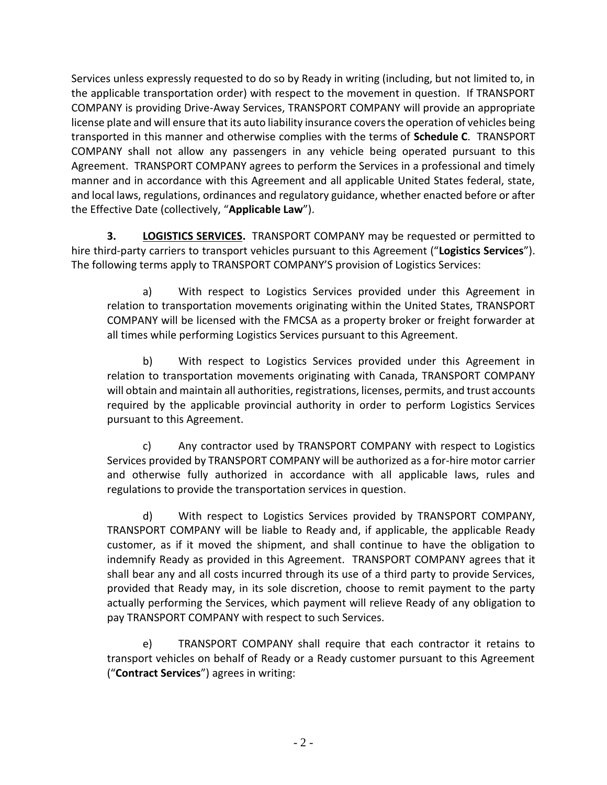Services unless expressly requested to do so by Ready in writing (including, but not limited to, in the applicable transportation order) with respect to the movement in question. If TRANSPORT COMPANY is providing Drive-Away Services, TRANSPORT COMPANY will provide an appropriate license plate and will ensure that its auto liability insurance covers the operation of vehicles being transported in this manner and otherwise complies with the terms of **Schedule C**. TRANSPORT COMPANY shall not allow any passengers in any vehicle being operated pursuant to this Agreement. TRANSPORT COMPANY agrees to perform the Services in a professional and timely manner and in accordance with this Agreement and all applicable United States federal, state, and local laws, regulations, ordinances and regulatory guidance, whether enacted before or after the Effective Date (collectively, "**Applicable Law**").

**3. LOGISTICS SERVICES.** TRANSPORT COMPANY may be requested or permitted to hire third-party carriers to transport vehicles pursuant to this Agreement ("**Logistics Services**"). The following terms apply to TRANSPORT COMPANY'S provision of Logistics Services:

a) With respect to Logistics Services provided under this Agreement in relation to transportation movements originating within the United States, TRANSPORT COMPANY will be licensed with the FMCSA as a property broker or freight forwarder at all times while performing Logistics Services pursuant to this Agreement.

b) With respect to Logistics Services provided under this Agreement in relation to transportation movements originating with Canada, TRANSPORT COMPANY will obtain and maintain all authorities, registrations, licenses, permits, and trust accounts required by the applicable provincial authority in order to perform Logistics Services pursuant to this Agreement.

c) Any contractor used by TRANSPORT COMPANY with respect to Logistics Services provided by TRANSPORT COMPANY will be authorized as a for-hire motor carrier and otherwise fully authorized in accordance with all applicable laws, rules and regulations to provide the transportation services in question.

d) With respect to Logistics Services provided by TRANSPORT COMPANY, TRANSPORT COMPANY will be liable to Ready and, if applicable, the applicable Ready customer, as if it moved the shipment, and shall continue to have the obligation to indemnify Ready as provided in this Agreement. TRANSPORT COMPANY agrees that it shall bear any and all costs incurred through its use of a third party to provide Services, provided that Ready may, in its sole discretion, choose to remit payment to the party actually performing the Services, which payment will relieve Ready of any obligation to pay TRANSPORT COMPANY with respect to such Services.

e) TRANSPORT COMPANY shall require that each contractor it retains to transport vehicles on behalf of Ready or a Ready customer pursuant to this Agreement ("**Contract Services**") agrees in writing: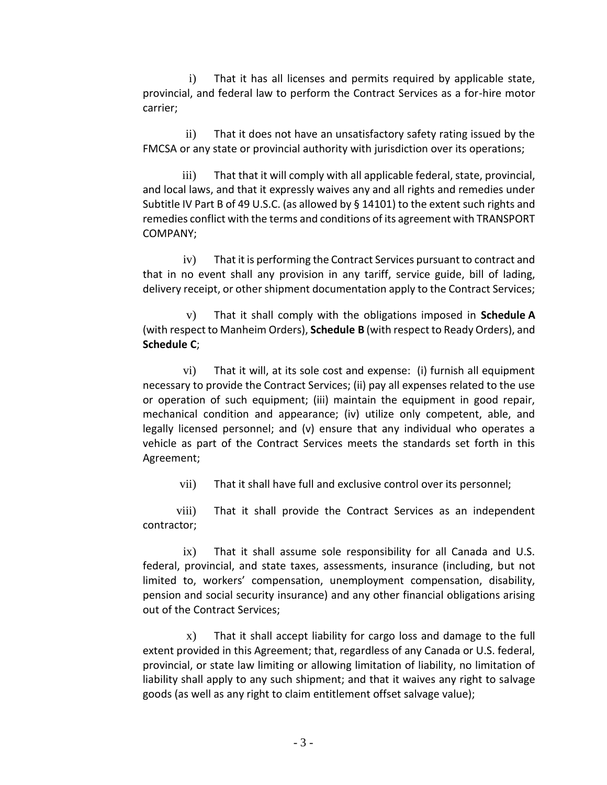i) That it has all licenses and permits required by applicable state, provincial, and federal law to perform the Contract Services as a for-hire motor carrier;

ii) That it does not have an unsatisfactory safety rating issued by the FMCSA or any state or provincial authority with jurisdiction over its operations;

iii) That that it will comply with all applicable federal, state, provincial, and local laws, and that it expressly waives any and all rights and remedies under Subtitle IV Part B of 49 U.S.C. (as allowed by § 14101) to the extent such rights and remedies conflict with the terms and conditions of its agreement with TRANSPORT COMPANY;

iv) That it is performing the Contract Services pursuant to contract and that in no event shall any provision in any tariff, service guide, bill of lading, delivery receipt, or other shipment documentation apply to the Contract Services;

v) That it shall comply with the obligations imposed in **Schedule A** (with respect to Manheim Orders), **Schedule B** (with respect to Ready Orders), and **Schedule C**;

vi) That it will, at its sole cost and expense: (i) furnish all equipment necessary to provide the Contract Services; (ii) pay all expenses related to the use or operation of such equipment; (iii) maintain the equipment in good repair, mechanical condition and appearance; (iv) utilize only competent, able, and legally licensed personnel; and (v) ensure that any individual who operates a vehicle as part of the Contract Services meets the standards set forth in this Agreement;

vii) That it shall have full and exclusive control over its personnel;

viii) That it shall provide the Contract Services as an independent contractor;

ix) That it shall assume sole responsibility for all Canada and U.S. federal, provincial, and state taxes, assessments, insurance (including, but not limited to, workers' compensation, unemployment compensation, disability, pension and social security insurance) and any other financial obligations arising out of the Contract Services;

x) That it shall accept liability for cargo loss and damage to the full extent provided in this Agreement; that, regardless of any Canada or U.S. federal, provincial, or state law limiting or allowing limitation of liability, no limitation of liability shall apply to any such shipment; and that it waives any right to salvage goods (as well as any right to claim entitlement offset salvage value);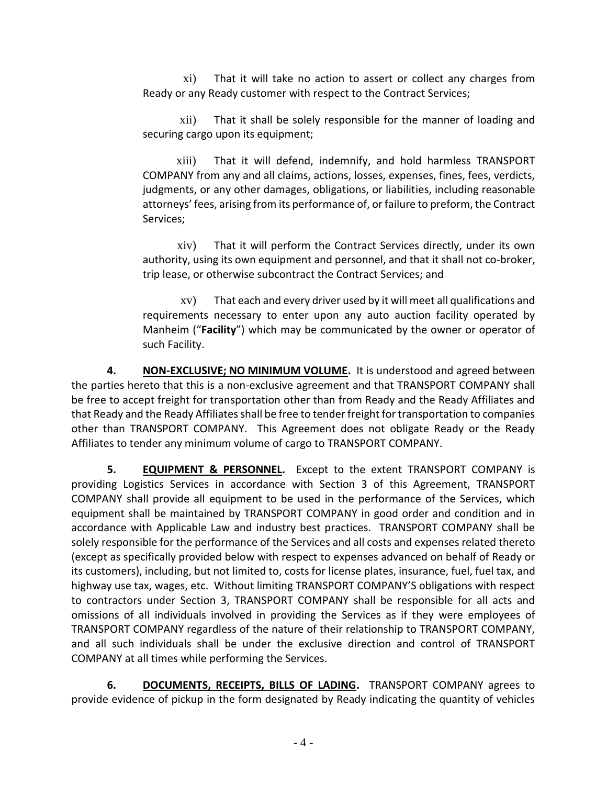xi) That it will take no action to assert or collect any charges from Ready or any Ready customer with respect to the Contract Services;

xii) That it shall be solely responsible for the manner of loading and securing cargo upon its equipment;

xiii) That it will defend, indemnify, and hold harmless TRANSPORT COMPANY from any and all claims, actions, losses, expenses, fines, fees, verdicts, judgments, or any other damages, obligations, or liabilities, including reasonable attorneys' fees, arising from its performance of, or failure to preform, the Contract Services;

xiv) That it will perform the Contract Services directly, under its own authority, using its own equipment and personnel, and that it shall not co-broker, trip lease, or otherwise subcontract the Contract Services; and

xv) That each and every driver used by it will meet all qualifications and requirements necessary to enter upon any auto auction facility operated by Manheim ("**Facility**") which may be communicated by the owner or operator of such Facility.

**4. NON-EXCLUSIVE; NO MINIMUM VOLUME.** It is understood and agreed between the parties hereto that this is a non-exclusive agreement and that TRANSPORT COMPANY shall be free to accept freight for transportation other than from Ready and the Ready Affiliates and that Ready and the Ready Affiliates shall be free to tender freight for transportation to companies other than TRANSPORT COMPANY. This Agreement does not obligate Ready or the Ready Affiliates to tender any minimum volume of cargo to TRANSPORT COMPANY.

**5. EQUIPMENT & PERSONNEL.** Except to the extent TRANSPORT COMPANY is providing Logistics Services in accordance with Section 3 of this Agreement, TRANSPORT COMPANY shall provide all equipment to be used in the performance of the Services, which equipment shall be maintained by TRANSPORT COMPANY in good order and condition and in accordance with Applicable Law and industry best practices. TRANSPORT COMPANY shall be solely responsible for the performance of the Services and all costs and expenses related thereto (except as specifically provided below with respect to expenses advanced on behalf of Ready or its customers), including, but not limited to, costs for license plates, insurance, fuel, fuel tax, and highway use tax, wages, etc. Without limiting TRANSPORT COMPANY'S obligations with respect to contractors under Section 3, TRANSPORT COMPANY shall be responsible for all acts and omissions of all individuals involved in providing the Services as if they were employees of TRANSPORT COMPANY regardless of the nature of their relationship to TRANSPORT COMPANY, and all such individuals shall be under the exclusive direction and control of TRANSPORT COMPANY at all times while performing the Services.

6. **DOCUMENTS, RECEIPTS, BILLS OF LADING.** TRANSPORT COMPANY agrees to provide evidence of pickup in the form designated by Ready indicating the quantity of vehicles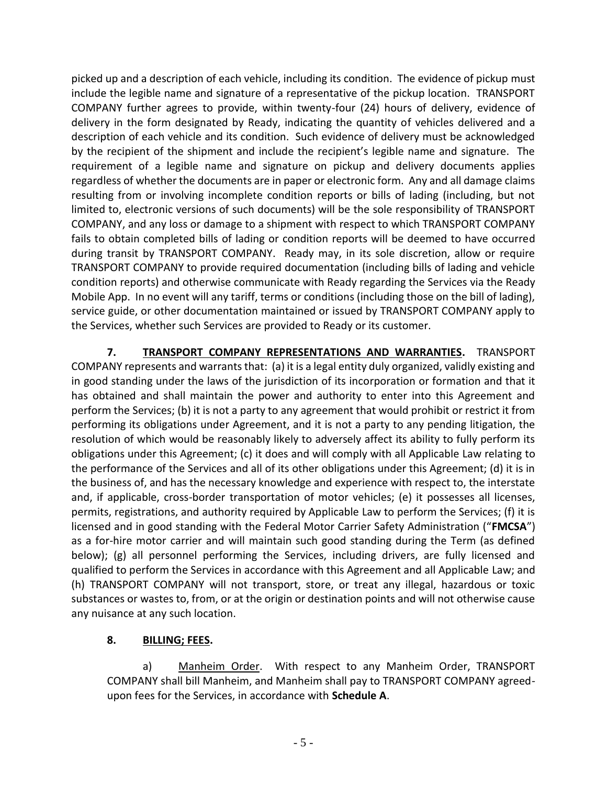picked up and a description of each vehicle, including its condition. The evidence of pickup must include the legible name and signature of a representative of the pickup location. TRANSPORT COMPANY further agrees to provide, within twenty-four (24) hours of delivery, evidence of delivery in the form designated by Ready, indicating the quantity of vehicles delivered and a description of each vehicle and its condition. Such evidence of delivery must be acknowledged by the recipient of the shipment and include the recipient's legible name and signature. The requirement of a legible name and signature on pickup and delivery documents applies regardless of whether the documents are in paper or electronic form. Any and all damage claims resulting from or involving incomplete condition reports or bills of lading (including, but not limited to, electronic versions of such documents) will be the sole responsibility of TRANSPORT COMPANY, and any loss or damage to a shipment with respect to which TRANSPORT COMPANY fails to obtain completed bills of lading or condition reports will be deemed to have occurred during transit by TRANSPORT COMPANY. Ready may, in its sole discretion, allow or require TRANSPORT COMPANY to provide required documentation (including bills of lading and vehicle condition reports) and otherwise communicate with Ready regarding the Services via the Ready Mobile App. In no event will any tariff, terms or conditions (including those on the bill of lading), service guide, or other documentation maintained or issued by TRANSPORT COMPANY apply to the Services, whether such Services are provided to Ready or its customer.

**7. TRANSPORT COMPANY REPRESENTATIONS AND WARRANTIES.** TRANSPORT COMPANY represents and warrants that: (a) it is a legal entity duly organized, validly existing and in good standing under the laws of the jurisdiction of its incorporation or formation and that it has obtained and shall maintain the power and authority to enter into this Agreement and perform the Services; (b) it is not a party to any agreement that would prohibit or restrict it from performing its obligations under Agreement, and it is not a party to any pending litigation, the resolution of which would be reasonably likely to adversely affect its ability to fully perform its obligations under this Agreement; (c) it does and will comply with all Applicable Law relating to the performance of the Services and all of its other obligations under this Agreement; (d) it is in the business of, and has the necessary knowledge and experience with respect to, the interstate and, if applicable, cross-border transportation of motor vehicles; (e) it possesses all licenses, permits, registrations, and authority required by Applicable Law to perform the Services; (f) it is licensed and in good standing with the Federal Motor Carrier Safety Administration ("**FMCSA**") as a for-hire motor carrier and will maintain such good standing during the Term (as defined below); (g) all personnel performing the Services, including drivers, are fully licensed and qualified to perform the Services in accordance with this Agreement and all Applicable Law; and (h) TRANSPORT COMPANY will not transport, store, or treat any illegal, hazardous or toxic substances or wastes to, from, or at the origin or destination points and will not otherwise cause any nuisance at any such location.

# **8. BILLING; FEES.**

a) Manheim Order. With respect to any Manheim Order, TRANSPORT COMPANY shall bill Manheim, and Manheim shall pay to TRANSPORT COMPANY agreedupon fees for the Services, in accordance with **Schedule A**.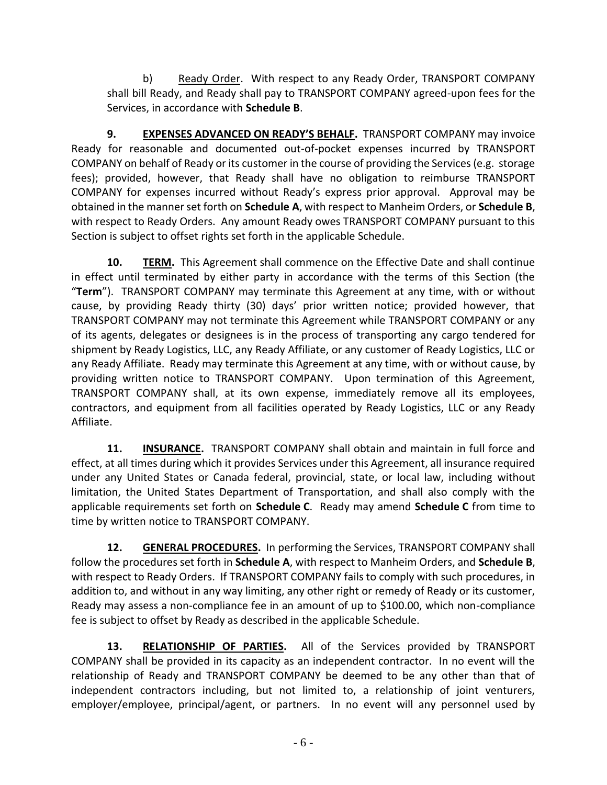b) Ready Order. With respect to any Ready Order, TRANSPORT COMPANY shall bill Ready, and Ready shall pay to TRANSPORT COMPANY agreed-upon fees for the Services, in accordance with **Schedule B**.

**9. EXPENSES ADVANCED ON READY'S BEHALF.** TRANSPORT COMPANY may invoice Ready for reasonable and documented out-of-pocket expenses incurred by TRANSPORT COMPANY on behalf of Ready or its customer in the course of providing the Services (e.g. storage fees); provided, however, that Ready shall have no obligation to reimburse TRANSPORT COMPANY for expenses incurred without Ready's express prior approval. Approval may be obtained in the manner set forth on **Schedule A**, with respect to Manheim Orders, or **Schedule B**, with respect to Ready Orders. Any amount Ready owes TRANSPORT COMPANY pursuant to this Section is subject to offset rights set forth in the applicable Schedule.

**10. TERM.** This Agreement shall commence on the Effective Date and shall continue in effect until terminated by either party in accordance with the terms of this Section (the "**Term**"). TRANSPORT COMPANY may terminate this Agreement at any time, with or without cause, by providing Ready thirty (30) days' prior written notice; provided however, that TRANSPORT COMPANY may not terminate this Agreement while TRANSPORT COMPANY or any of its agents, delegates or designees is in the process of transporting any cargo tendered for shipment by Ready Logistics, LLC, any Ready Affiliate, or any customer of Ready Logistics, LLC or any Ready Affiliate. Ready may terminate this Agreement at any time, with or without cause, by providing written notice to TRANSPORT COMPANY. Upon termination of this Agreement, TRANSPORT COMPANY shall, at its own expense, immediately remove all its employees, contractors, and equipment from all facilities operated by Ready Logistics, LLC or any Ready Affiliate.

**11. INSURANCE.** TRANSPORT COMPANY shall obtain and maintain in full force and effect, at all times during which it provides Services under this Agreement, all insurance required under any United States or Canada federal, provincial, state, or local law, including without limitation, the United States Department of Transportation, and shall also comply with the applicable requirements set forth on **Schedule C**. Ready may amend **Schedule C** from time to time by written notice to TRANSPORT COMPANY.

**12. GENERAL PROCEDURES.** In performing the Services, TRANSPORT COMPANY shall follow the procedures set forth in **Schedule A**, with respect to Manheim Orders, and **Schedule B**, with respect to Ready Orders. If TRANSPORT COMPANY fails to comply with such procedures, in addition to, and without in any way limiting, any other right or remedy of Ready or its customer, Ready may assess a non-compliance fee in an amount of up to \$100.00, which non-compliance fee is subject to offset by Ready as described in the applicable Schedule.

**13. RELATIONSHIP OF PARTIES.** All of the Services provided by TRANSPORT COMPANY shall be provided in its capacity as an independent contractor. In no event will the relationship of Ready and TRANSPORT COMPANY be deemed to be any other than that of independent contractors including, but not limited to, a relationship of joint venturers, employer/employee, principal/agent, or partners. In no event will any personnel used by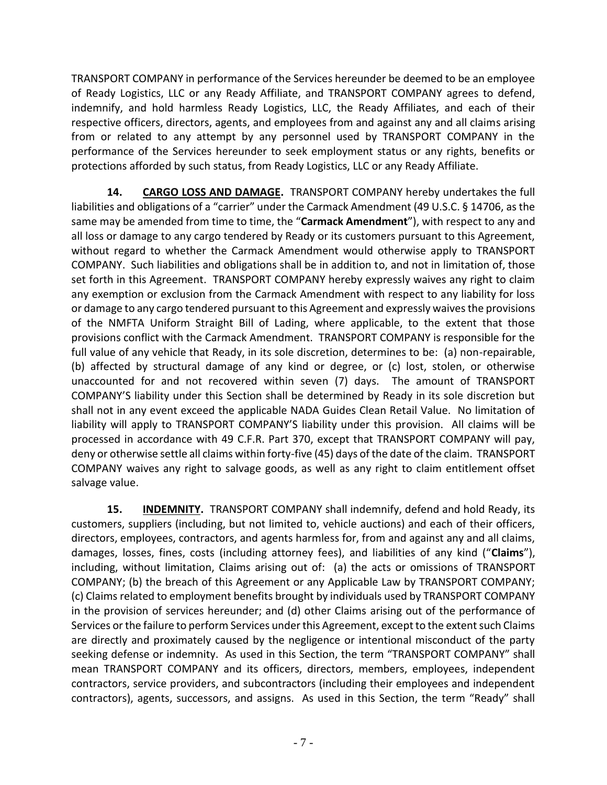TRANSPORT COMPANY in performance of the Services hereunder be deemed to be an employee of Ready Logistics, LLC or any Ready Affiliate, and TRANSPORT COMPANY agrees to defend, indemnify, and hold harmless Ready Logistics, LLC, the Ready Affiliates, and each of their respective officers, directors, agents, and employees from and against any and all claims arising from or related to any attempt by any personnel used by TRANSPORT COMPANY in the performance of the Services hereunder to seek employment status or any rights, benefits or protections afforded by such status, from Ready Logistics, LLC or any Ready Affiliate.

**14. CARGO LOSS AND DAMAGE.** TRANSPORT COMPANY hereby undertakes the full liabilities and obligations of a "carrier" under the Carmack Amendment (49 U.S.C. § 14706, as the same may be amended from time to time, the "**Carmack Amendment**"), with respect to any and all loss or damage to any cargo tendered by Ready or its customers pursuant to this Agreement, without regard to whether the Carmack Amendment would otherwise apply to TRANSPORT COMPANY. Such liabilities and obligations shall be in addition to, and not in limitation of, those set forth in this Agreement. TRANSPORT COMPANY hereby expressly waives any right to claim any exemption or exclusion from the Carmack Amendment with respect to any liability for loss or damage to any cargo tendered pursuant to this Agreement and expressly waives the provisions of the NMFTA Uniform Straight Bill of Lading, where applicable, to the extent that those provisions conflict with the Carmack Amendment. TRANSPORT COMPANY is responsible for the full value of any vehicle that Ready, in its sole discretion, determines to be: (a) non-repairable, (b) affected by structural damage of any kind or degree, or (c) lost, stolen, or otherwise unaccounted for and not recovered within seven (7) days. The amount of TRANSPORT COMPANY'S liability under this Section shall be determined by Ready in its sole discretion but shall not in any event exceed the applicable NADA Guides Clean Retail Value. No limitation of liability will apply to TRANSPORT COMPANY'S liability under this provision. All claims will be processed in accordance with 49 C.F.R. Part 370, except that TRANSPORT COMPANY will pay, deny or otherwise settle all claims within forty-five (45) days of the date of the claim. TRANSPORT COMPANY waives any right to salvage goods, as well as any right to claim entitlement offset salvage value.

**15. INDEMNITY.** TRANSPORT COMPANY shall indemnify, defend and hold Ready, its customers, suppliers (including, but not limited to, vehicle auctions) and each of their officers, directors, employees, contractors, and agents harmless for, from and against any and all claims, damages, losses, fines, costs (including attorney fees), and liabilities of any kind ("**Claims**"), including, without limitation, Claims arising out of: (a) the acts or omissions of TRANSPORT COMPANY; (b) the breach of this Agreement or any Applicable Law by TRANSPORT COMPANY; (c) Claims related to employment benefits brought by individuals used by TRANSPORT COMPANY in the provision of services hereunder; and (d) other Claims arising out of the performance of Services or the failure to perform Services under this Agreement, except to the extent such Claims are directly and proximately caused by the negligence or intentional misconduct of the party seeking defense or indemnity. As used in this Section, the term "TRANSPORT COMPANY" shall mean TRANSPORT COMPANY and its officers, directors, members, employees, independent contractors, service providers, and subcontractors (including their employees and independent contractors), agents, successors, and assigns. As used in this Section, the term "Ready" shall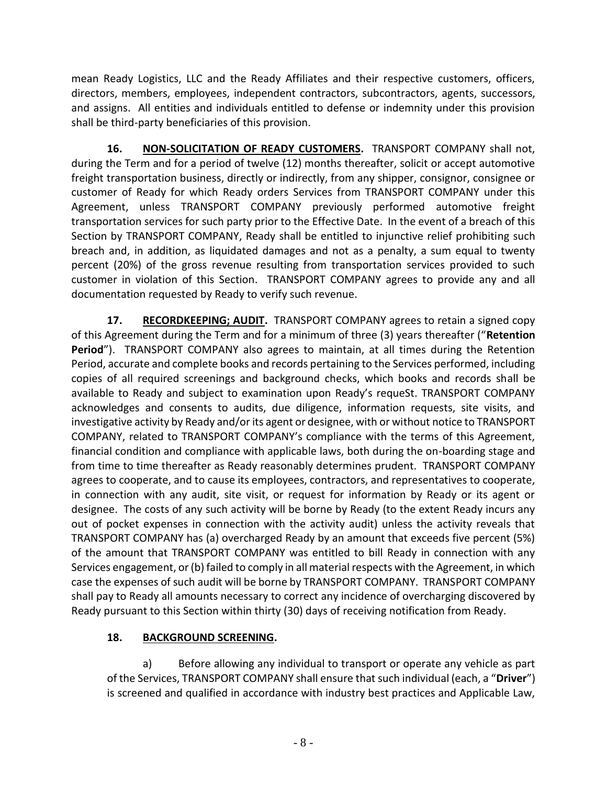mean Ready Logistics, LLC and the Ready Affiliates and their respective customers, officers, directors, members, employees, independent contractors, subcontractors, agents, successors, and assigns. All entities and individuals entitled to defense or indemnity under this provision shall be third-party beneficiaries of this provision.

**16. NON-SOLICITATION OF READY CUSTOMERS.** TRANSPORT COMPANY shall not, during the Term and for a period of twelve (12) months thereafter, solicit or accept automotive freight transportation business, directly or indirectly, from any shipper, consignor, consignee or customer of Ready for which Ready orders Services from TRANSPORT COMPANY under this Agreement, unless TRANSPORT COMPANY previously performed automotive freight transportation services for such party prior to the Effective Date. In the event of a breach of this Section by TRANSPORT COMPANY, Ready shall be entitled to injunctive relief prohibiting such breach and, in addition, as liquidated damages and not as a penalty, a sum equal to twenty percent (20%) of the gross revenue resulting from transportation services provided to such customer in violation of this Section. TRANSPORT COMPANY agrees to provide any and all documentation requested by Ready to verify such revenue.

**17. RECORDKEEPING; AUDIT.** TRANSPORT COMPANY agrees to retain a signed copy of this Agreement during the Term and for a minimum of three (3) years thereafter ("**Retention Period**"). TRANSPORT COMPANY also agrees to maintain, at all times during the Retention Period, accurate and complete books and records pertaining to the Services performed, including copies of all required screenings and background checks, which books and records shall be available to Ready and subject to examination upon Ready's requeSt. TRANSPORT COMPANY acknowledges and consents to audits, due diligence, information requests, site visits, and investigative activity by Ready and/or its agent or designee, with or without notice to TRANSPORT COMPANY, related to TRANSPORT COMPANY's compliance with the terms of this Agreement, financial condition and compliance with applicable laws, both during the on-boarding stage and from time to time thereafter as Ready reasonably determines prudent. TRANSPORT COMPANY agrees to cooperate, and to cause its employees, contractors, and representatives to cooperate, in connection with any audit, site visit, or request for information by Ready or its agent or designee. The costs of any such activity will be borne by Ready (to the extent Ready incurs any out of pocket expenses in connection with the activity audit) unless the activity reveals that TRANSPORT COMPANY has (a) overcharged Ready by an amount that exceeds five percent (5%) of the amount that TRANSPORT COMPANY was entitled to bill Ready in connection with any Services engagement, or (b) failed to comply in all material respects with the Agreement, in which case the expenses of such audit will be borne by TRANSPORT COMPANY. TRANSPORT COMPANY shall pay to Ready all amounts necessary to correct any incidence of overcharging discovered by Ready pursuant to this Section within thirty (30) days of receiving notification from Ready.

# **18. BACKGROUND SCREENING.**

a) Before allowing any individual to transport or operate any vehicle as part of the Services, TRANSPORT COMPANY shall ensure that such individual (each, a "**Driver**") is screened and qualified in accordance with industry best practices and Applicable Law,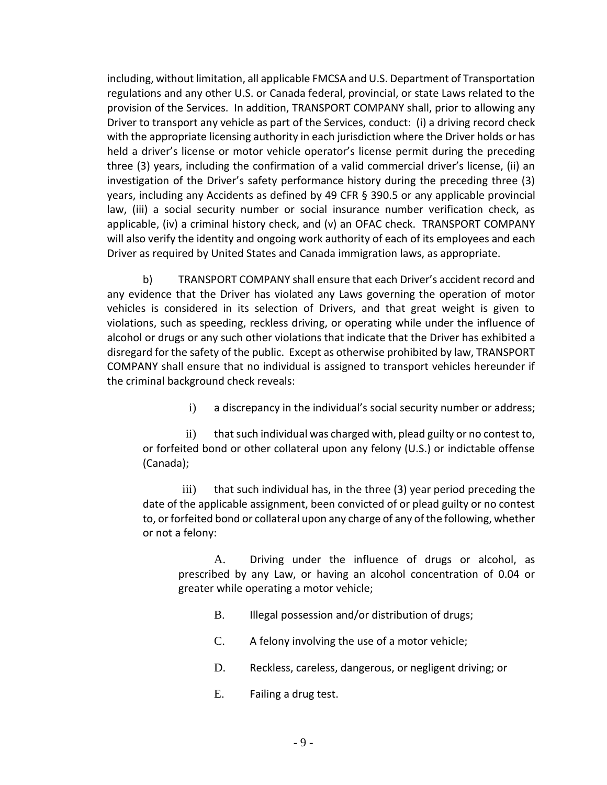including, without limitation, all applicable FMCSA and U.S. Department of Transportation regulations and any other U.S. or Canada federal, provincial, or state Laws related to the provision of the Services. In addition, TRANSPORT COMPANY shall, prior to allowing any Driver to transport any vehicle as part of the Services, conduct: (i) a driving record check with the appropriate licensing authority in each jurisdiction where the Driver holds or has held a driver's license or motor vehicle operator's license permit during the preceding three (3) years, including the confirmation of a valid commercial driver's license, (ii) an investigation of the Driver's safety performance history during the preceding three (3) years, including any Accidents as defined by 49 CFR § 390.5 or any applicable provincial law, (iii) a social security number or social insurance number verification check, as applicable, (iv) a criminal history check, and (v) an OFAC check. TRANSPORT COMPANY will also verify the identity and ongoing work authority of each of its employees and each Driver as required by United States and Canada immigration laws, as appropriate.

b) TRANSPORT COMPANY shall ensure that each Driver's accident record and any evidence that the Driver has violated any Laws governing the operation of motor vehicles is considered in its selection of Drivers, and that great weight is given to violations, such as speeding, reckless driving, or operating while under the influence of alcohol or drugs or any such other violations that indicate that the Driver has exhibited a disregard for the safety of the public. Except as otherwise prohibited by law, TRANSPORT COMPANY shall ensure that no individual is assigned to transport vehicles hereunder if the criminal background check reveals:

i) a discrepancy in the individual's social security number or address;

ii) that such individual was charged with, plead guilty or no contest to, or forfeited bond or other collateral upon any felony (U.S.) or indictable offense (Canada);

iii) that such individual has, in the three (3) year period preceding the date of the applicable assignment, been convicted of or plead guilty or no contest to, or forfeited bond or collateral upon any charge of any of the following, whether or not a felony:

A. Driving under the influence of drugs or alcohol, as prescribed by any Law, or having an alcohol concentration of 0.04 or greater while operating a motor vehicle;

- B. Illegal possession and/or distribution of drugs;
- C. A felony involving the use of a motor vehicle;
- D. Reckless, careless, dangerous, or negligent driving; or
- E. Failing a drug test.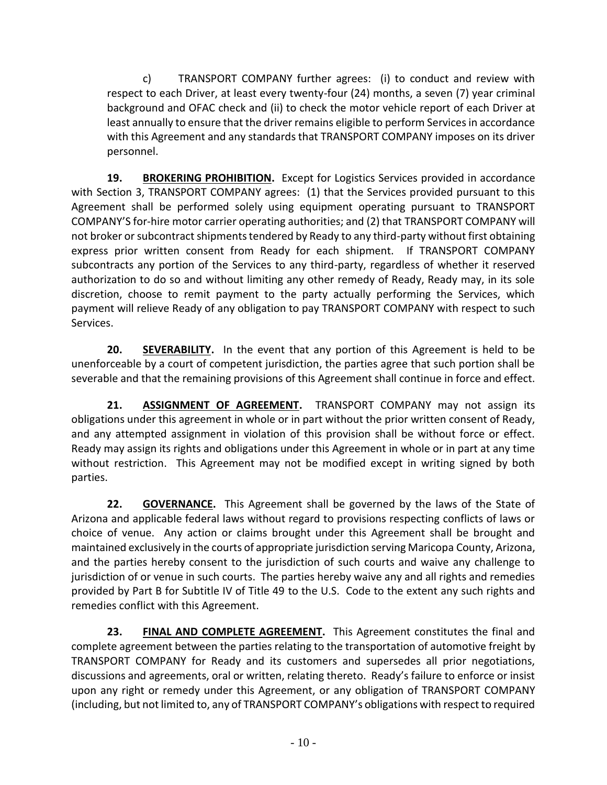c) TRANSPORT COMPANY further agrees: (i) to conduct and review with respect to each Driver, at least every twenty-four (24) months, a seven (7) year criminal background and OFAC check and (ii) to check the motor vehicle report of each Driver at least annually to ensure that the driver remains eligible to perform Services in accordance with this Agreement and any standards that TRANSPORT COMPANY imposes on its driver personnel.

**19. BROKERING PROHIBITION.** Except for Logistics Services provided in accordance with Section 3, TRANSPORT COMPANY agrees: (1) that the Services provided pursuant to this Agreement shall be performed solely using equipment operating pursuant to TRANSPORT COMPANY'S for-hire motor carrier operating authorities; and (2) that TRANSPORT COMPANY will not broker or subcontract shipments tendered by Ready to any third-party without first obtaining express prior written consent from Ready for each shipment. If TRANSPORT COMPANY subcontracts any portion of the Services to any third-party, regardless of whether it reserved authorization to do so and without limiting any other remedy of Ready, Ready may, in its sole discretion, choose to remit payment to the party actually performing the Services, which payment will relieve Ready of any obligation to pay TRANSPORT COMPANY with respect to such Services.

**20. SEVERABILITY.** In the event that any portion of this Agreement is held to be unenforceable by a court of competent jurisdiction, the parties agree that such portion shall be severable and that the remaining provisions of this Agreement shall continue in force and effect.

**21. ASSIGNMENT OF AGREEMENT.** TRANSPORT COMPANY may not assign its obligations under this agreement in whole or in part without the prior written consent of Ready, and any attempted assignment in violation of this provision shall be without force or effect. Ready may assign its rights and obligations under this Agreement in whole or in part at any time without restriction. This Agreement may not be modified except in writing signed by both parties.

**22. GOVERNANCE.** This Agreement shall be governed by the laws of the State of Arizona and applicable federal laws without regard to provisions respecting conflicts of laws or choice of venue. Any action or claims brought under this Agreement shall be brought and maintained exclusively in the courts of appropriate jurisdiction serving Maricopa County, Arizona, and the parties hereby consent to the jurisdiction of such courts and waive any challenge to jurisdiction of or venue in such courts. The parties hereby waive any and all rights and remedies provided by Part B for Subtitle IV of Title 49 to the U.S. Code to the extent any such rights and remedies conflict with this Agreement.

**23. FINAL AND COMPLETE AGREEMENT.** This Agreement constitutes the final and complete agreement between the parties relating to the transportation of automotive freight by TRANSPORT COMPANY for Ready and its customers and supersedes all prior negotiations, discussions and agreements, oral or written, relating thereto. Ready's failure to enforce or insist upon any right or remedy under this Agreement, or any obligation of TRANSPORT COMPANY (including, but not limited to, any of TRANSPORT COMPANY's obligations with respect to required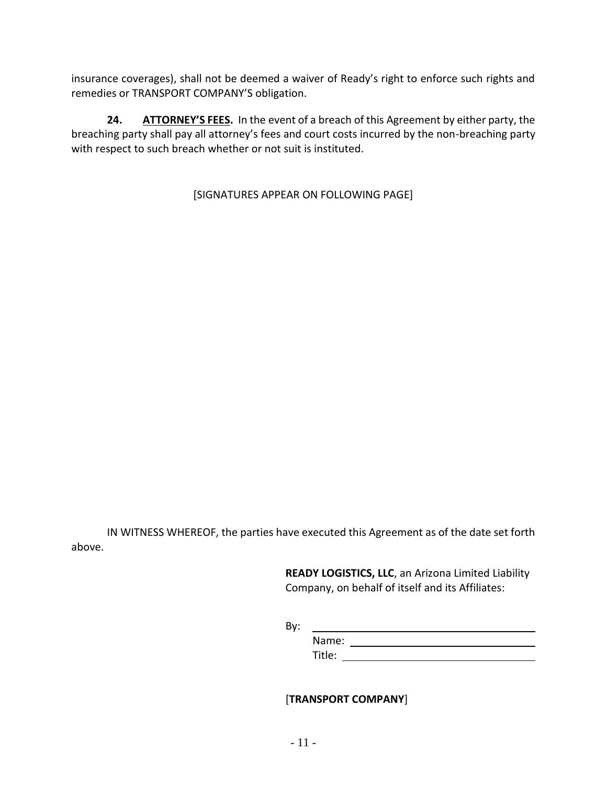insurance coverages), shall not be deemed a waiver of Ready's right to enforce such rights and remedies or TRANSPORT COMPANY'S obligation.

**24. ATTORNEY'S FEES.** In the event of a breach of this Agreement by either party, the breaching party shall pay all attorney's fees and court costs incurred by the non-breaching party with respect to such breach whether or not suit is instituted.

[SIGNATURES APPEAR ON FOLLOWING PAGE]

IN WITNESS WHEREOF, the parties have executed this Agreement as of the date set forth above.

> **READY LOGISTICS, LLC**, an Arizona Limited Liability Company, on behalf of itself and its Affiliates:

By:

Name: Title:

## [**TRANSPORT COMPANY**]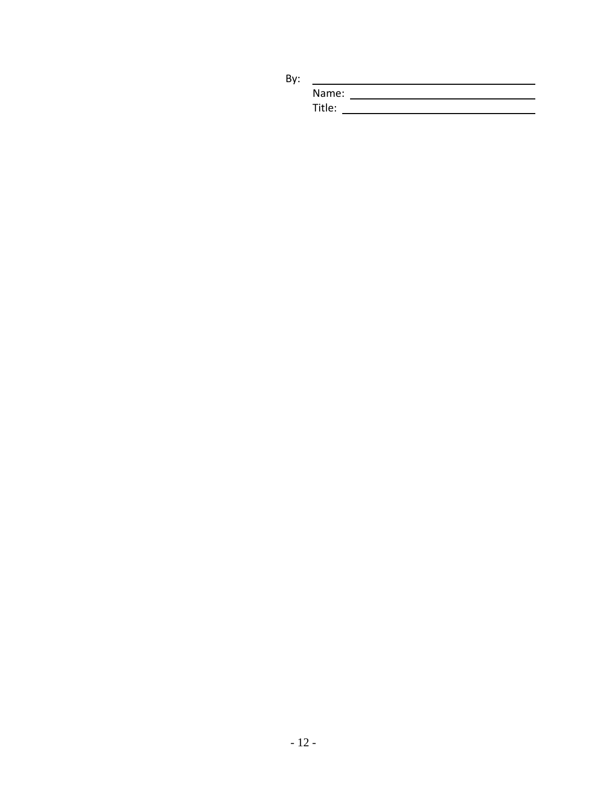By:

| Name:  |  |
|--------|--|
| Title: |  |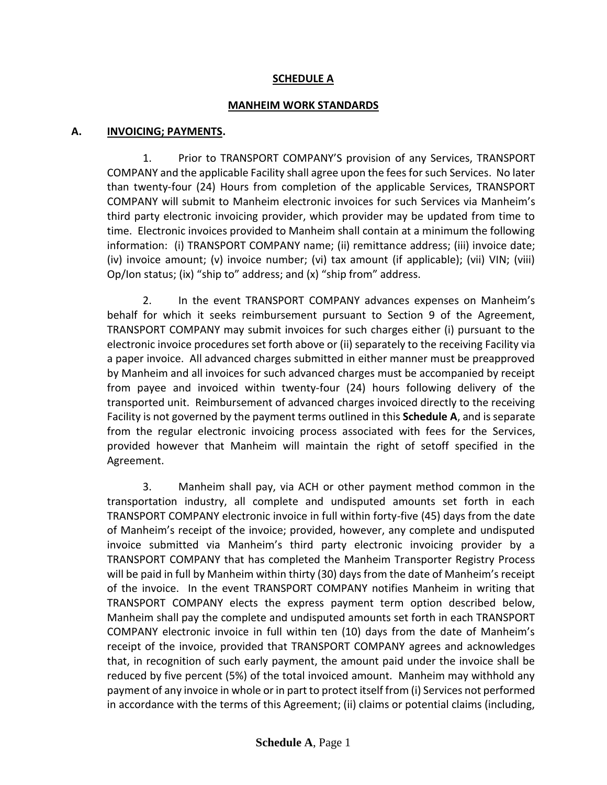### **SCHEDULE A**

#### **MANHEIM WORK STANDARDS**

#### **A. INVOICING; PAYMENTS.**

1. Prior to TRANSPORT COMPANY'S provision of any Services, TRANSPORT COMPANY and the applicable Facility shall agree upon the fees for such Services. No later than twenty-four (24) Hours from completion of the applicable Services, TRANSPORT COMPANY will submit to Manheim electronic invoices for such Services via Manheim's third party electronic invoicing provider, which provider may be updated from time to time. Electronic invoices provided to Manheim shall contain at a minimum the following information: (i) TRANSPORT COMPANY name; (ii) remittance address; (iii) invoice date; (iv) invoice amount; (v) invoice number; (vi) tax amount (if applicable); (vii) VIN; (viii) Op/Ion status; (ix) "ship to" address; and (x) "ship from" address.

2. In the event TRANSPORT COMPANY advances expenses on Manheim's behalf for which it seeks reimbursement pursuant to Section 9 of the Agreement, TRANSPORT COMPANY may submit invoices for such charges either (i) pursuant to the electronic invoice procedures set forth above or (ii) separately to the receiving Facility via a paper invoice. All advanced charges submitted in either manner must be preapproved by Manheim and all invoices for such advanced charges must be accompanied by receipt from payee and invoiced within twenty-four (24) hours following delivery of the transported unit. Reimbursement of advanced charges invoiced directly to the receiving Facility is not governed by the payment terms outlined in this **Schedule A**, and is separate from the regular electronic invoicing process associated with fees for the Services, provided however that Manheim will maintain the right of setoff specified in the Agreement.

3. Manheim shall pay, via ACH or other payment method common in the transportation industry, all complete and undisputed amounts set forth in each TRANSPORT COMPANY electronic invoice in full within forty-five (45) days from the date of Manheim's receipt of the invoice; provided, however, any complete and undisputed invoice submitted via Manheim's third party electronic invoicing provider by a TRANSPORT COMPANY that has completed the Manheim Transporter Registry Process will be paid in full by Manheim within thirty (30) days from the date of Manheim's receipt of the invoice. In the event TRANSPORT COMPANY notifies Manheim in writing that TRANSPORT COMPANY elects the express payment term option described below, Manheim shall pay the complete and undisputed amounts set forth in each TRANSPORT COMPANY electronic invoice in full within ten (10) days from the date of Manheim's receipt of the invoice, provided that TRANSPORT COMPANY agrees and acknowledges that, in recognition of such early payment, the amount paid under the invoice shall be reduced by five percent (5%) of the total invoiced amount. Manheim may withhold any payment of any invoice in whole or in part to protect itself from (i) Services not performed in accordance with the terms of this Agreement; (ii) claims or potential claims (including,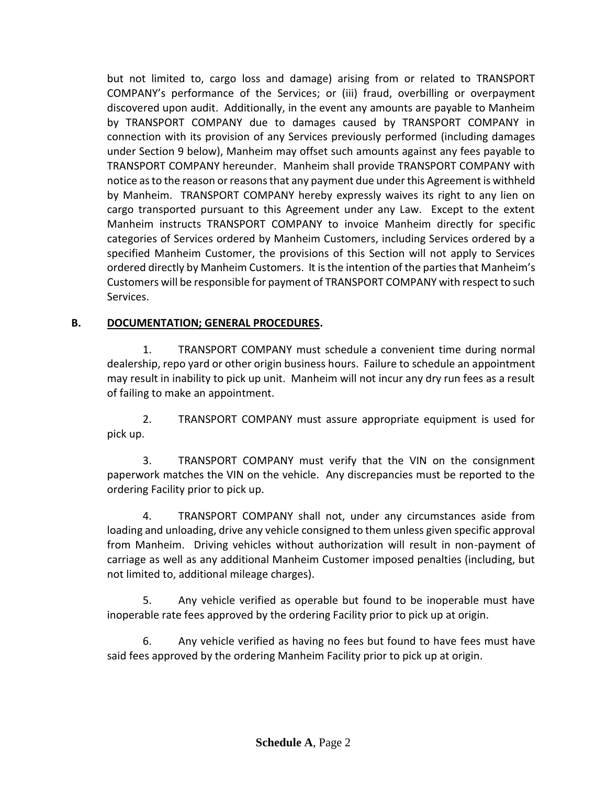but not limited to, cargo loss and damage) arising from or related to TRANSPORT COMPANY's performance of the Services; or (iii) fraud, overbilling or overpayment discovered upon audit. Additionally, in the event any amounts are payable to Manheim by TRANSPORT COMPANY due to damages caused by TRANSPORT COMPANY in connection with its provision of any Services previously performed (including damages under Section 9 below), Manheim may offset such amounts against any fees payable to TRANSPORT COMPANY hereunder. Manheim shall provide TRANSPORT COMPANY with notice as to the reason or reasons that any payment due under this Agreement is withheld by Manheim. TRANSPORT COMPANY hereby expressly waives its right to any lien on cargo transported pursuant to this Agreement under any Law. Except to the extent Manheim instructs TRANSPORT COMPANY to invoice Manheim directly for specific categories of Services ordered by Manheim Customers, including Services ordered by a specified Manheim Customer, the provisions of this Section will not apply to Services ordered directly by Manheim Customers. It is the intention of the parties that Manheim's Customers will be responsible for payment of TRANSPORT COMPANY with respect to such Services.

## **B. DOCUMENTATION; GENERAL PROCEDURES.**

1. TRANSPORT COMPANY must schedule a convenient time during normal dealership, repo yard or other origin business hours. Failure to schedule an appointment may result in inability to pick up unit. Manheim will not incur any dry run fees as a result of failing to make an appointment.

2. TRANSPORT COMPANY must assure appropriate equipment is used for pick up.

3. TRANSPORT COMPANY must verify that the VIN on the consignment paperwork matches the VIN on the vehicle. Any discrepancies must be reported to the ordering Facility prior to pick up.

4. TRANSPORT COMPANY shall not, under any circumstances aside from loading and unloading, drive any vehicle consigned to them unless given specific approval from Manheim. Driving vehicles without authorization will result in non-payment of carriage as well as any additional Manheim Customer imposed penalties (including, but not limited to, additional mileage charges).

5. Any vehicle verified as operable but found to be inoperable must have inoperable rate fees approved by the ordering Facility prior to pick up at origin.

6. Any vehicle verified as having no fees but found to have fees must have said fees approved by the ordering Manheim Facility prior to pick up at origin.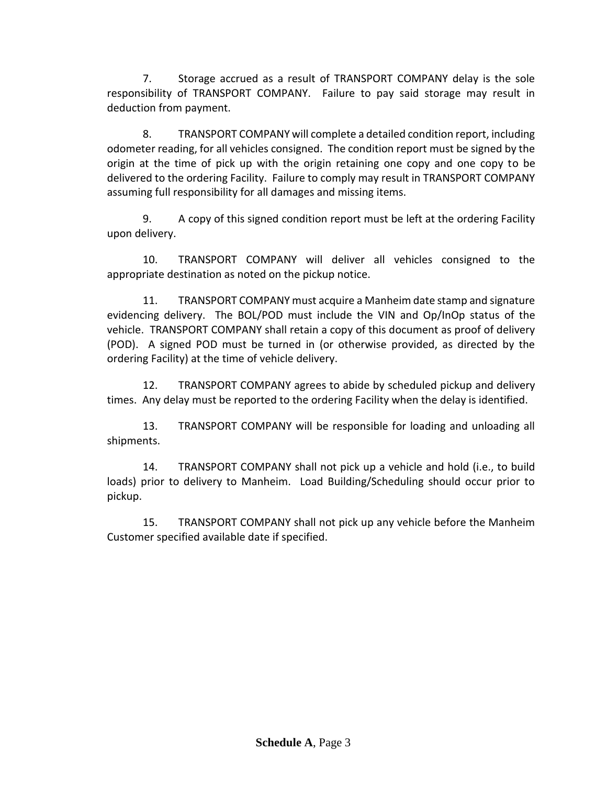7. Storage accrued as a result of TRANSPORT COMPANY delay is the sole responsibility of TRANSPORT COMPANY. Failure to pay said storage may result in deduction from payment.

8. TRANSPORT COMPANY will complete a detailed condition report, including odometer reading, for all vehicles consigned. The condition report must be signed by the origin at the time of pick up with the origin retaining one copy and one copy to be delivered to the ordering Facility. Failure to comply may result in TRANSPORT COMPANY assuming full responsibility for all damages and missing items.

9. A copy of this signed condition report must be left at the ordering Facility upon delivery.

10. TRANSPORT COMPANY will deliver all vehicles consigned to the appropriate destination as noted on the pickup notice.

11. TRANSPORT COMPANY must acquire a Manheim date stamp and signature evidencing delivery. The BOL/POD must include the VIN and Op/InOp status of the vehicle. TRANSPORT COMPANY shall retain a copy of this document as proof of delivery (POD). A signed POD must be turned in (or otherwise provided, as directed by the ordering Facility) at the time of vehicle delivery.

12. TRANSPORT COMPANY agrees to abide by scheduled pickup and delivery times. Any delay must be reported to the ordering Facility when the delay is identified.

13. TRANSPORT COMPANY will be responsible for loading and unloading all shipments.

14. TRANSPORT COMPANY shall not pick up a vehicle and hold (i.e., to build loads) prior to delivery to Manheim. Load Building/Scheduling should occur prior to pickup.

15. TRANSPORT COMPANY shall not pick up any vehicle before the Manheim Customer specified available date if specified.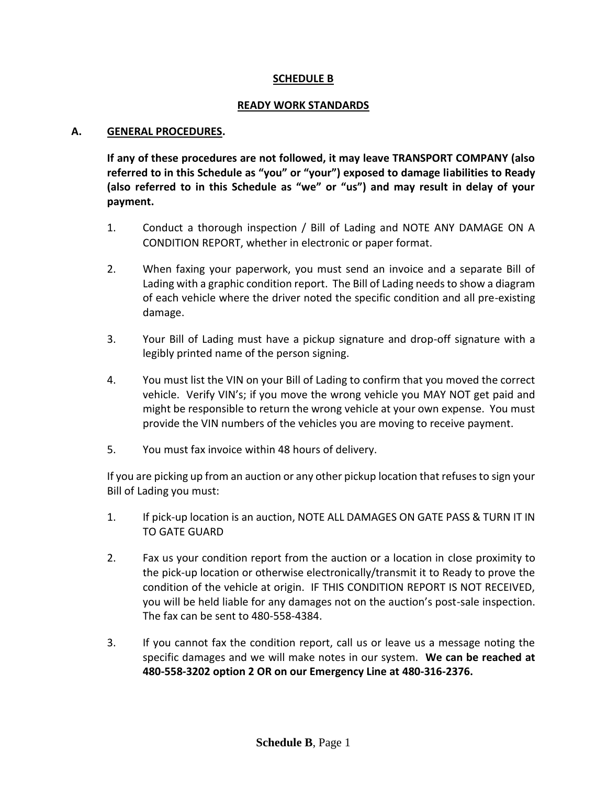### **SCHEDULE B**

#### **READY WORK STANDARDS**

#### **A. GENERAL PROCEDURES.**

**If any of these procedures are not followed, it may leave TRANSPORT COMPANY (also referred to in this Schedule as "you" or "your") exposed to damage liabilities to Ready (also referred to in this Schedule as "we" or "us") and may result in delay of your payment.**

- 1. Conduct a thorough inspection / Bill of Lading and NOTE ANY DAMAGE ON A CONDITION REPORT, whether in electronic or paper format.
- 2. When faxing your paperwork, you must send an invoice and a separate Bill of Lading with a graphic condition report. The Bill of Lading needs to show a diagram of each vehicle where the driver noted the specific condition and all pre-existing damage.
- 3. Your Bill of Lading must have a pickup signature and drop-off signature with a legibly printed name of the person signing.
- 4. You must list the VIN on your Bill of Lading to confirm that you moved the correct vehicle. Verify VIN's; if you move the wrong vehicle you MAY NOT get paid and might be responsible to return the wrong vehicle at your own expense. You must provide the VIN numbers of the vehicles you are moving to receive payment.
- 5. You must fax invoice within 48 hours of delivery.

If you are picking up from an auction or any other pickup location that refuses to sign your Bill of Lading you must:

- 1. If pick-up location is an auction, NOTE ALL DAMAGES ON GATE PASS & TURN IT IN TO GATE GUARD
- 2. Fax us your condition report from the auction or a location in close proximity to the pick-up location or otherwise electronically/transmit it to Ready to prove the condition of the vehicle at origin. IF THIS CONDITION REPORT IS NOT RECEIVED, you will be held liable for any damages not on the auction's post-sale inspection. The fax can be sent to 480-558-4384.
- 3. If you cannot fax the condition report, call us or leave us a message noting the specific damages and we will make notes in our system. **We can be reached at 480-558-3202 option 2 OR on our Emergency Line at 480-316-2376.**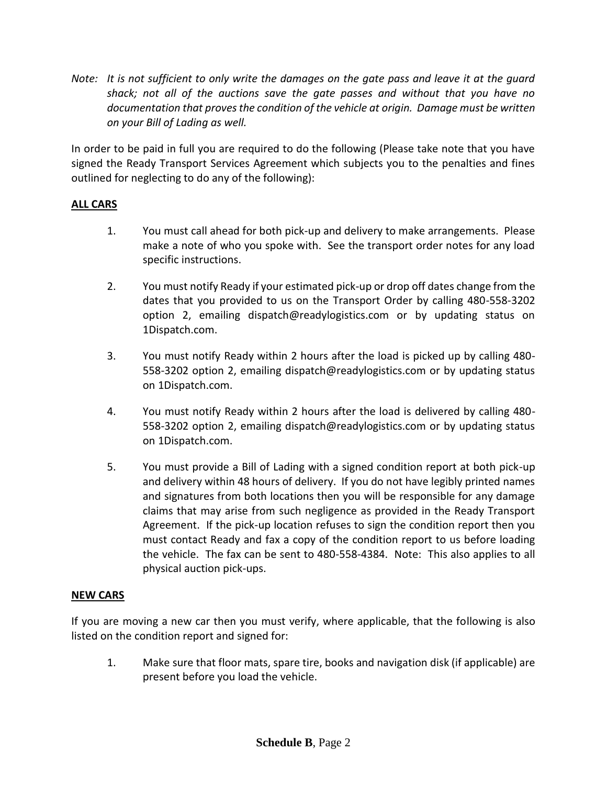*Note: It is not sufficient to only write the damages on the gate pass and leave it at the guard shack; not all of the auctions save the gate passes and without that you have no documentation that proves the condition of the vehicle at origin. Damage must be written on your Bill of Lading as well.*

In order to be paid in full you are required to do the following (Please take note that you have signed the Ready Transport Services Agreement which subjects you to the penalties and fines outlined for neglecting to do any of the following):

## **ALL CARS**

- 1. You must call ahead for both pick-up and delivery to make arrangements. Please make a note of who you spoke with. See the transport order notes for any load specific instructions.
- 2. You must notify Ready if your estimated pick-up or drop off dates change from the dates that you provided to us on the Transport Order by calling 480-558-3202 option 2, emailing dispatch@readylogistics.com or by updating status on 1Dispatch.com.
- 3. You must notify Ready within 2 hours after the load is picked up by calling 480- 558-3202 option 2, emailing dispatch@readylogistics.com or by updating status on 1Dispatch.com.
- 4. You must notify Ready within 2 hours after the load is delivered by calling 480- 558-3202 option 2, emailing dispatch@readylogistics.com or by updating status on 1Dispatch.com.
- 5. You must provide a Bill of Lading with a signed condition report at both pick-up and delivery within 48 hours of delivery. If you do not have legibly printed names and signatures from both locations then you will be responsible for any damage claims that may arise from such negligence as provided in the Ready Transport Agreement. If the pick-up location refuses to sign the condition report then you must contact Ready and fax a copy of the condition report to us before loading the vehicle. The fax can be sent to 480-558-4384. Note: This also applies to all physical auction pick-ups.

## **NEW CARS**

If you are moving a new car then you must verify, where applicable, that the following is also listed on the condition report and signed for:

1. Make sure that floor mats, spare tire, books and navigation disk (if applicable) are present before you load the vehicle.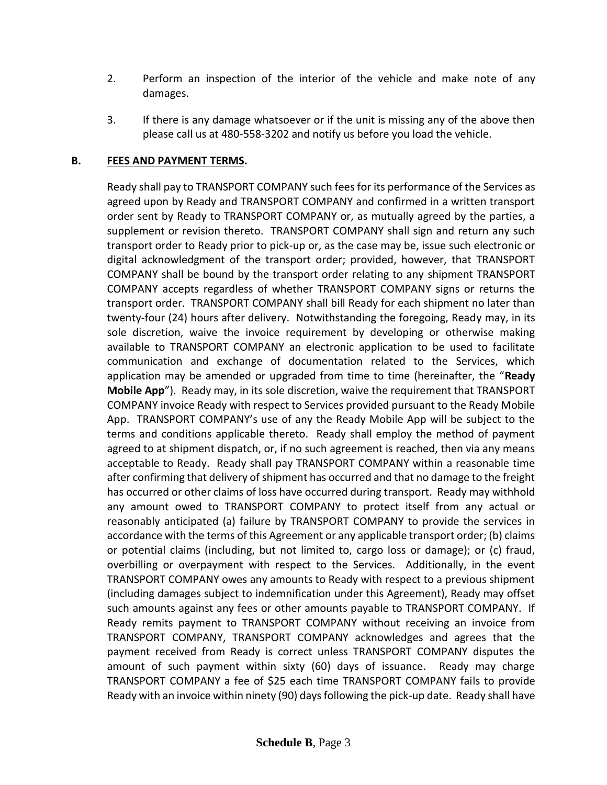- 2. Perform an inspection of the interior of the vehicle and make note of any damages.
- 3. If there is any damage whatsoever or if the unit is missing any of the above then please call us at 480-558-3202 and notify us before you load the vehicle.

### **B. FEES AND PAYMENT TERMS.**

Ready shall pay to TRANSPORT COMPANY such fees for its performance of the Services as agreed upon by Ready and TRANSPORT COMPANY and confirmed in a written transport order sent by Ready to TRANSPORT COMPANY or, as mutually agreed by the parties, a supplement or revision thereto. TRANSPORT COMPANY shall sign and return any such transport order to Ready prior to pick-up or, as the case may be, issue such electronic or digital acknowledgment of the transport order; provided, however, that TRANSPORT COMPANY shall be bound by the transport order relating to any shipment TRANSPORT COMPANY accepts regardless of whether TRANSPORT COMPANY signs or returns the transport order. TRANSPORT COMPANY shall bill Ready for each shipment no later than twenty-four (24) hours after delivery. Notwithstanding the foregoing, Ready may, in its sole discretion, waive the invoice requirement by developing or otherwise making available to TRANSPORT COMPANY an electronic application to be used to facilitate communication and exchange of documentation related to the Services, which application may be amended or upgraded from time to time (hereinafter, the "**Ready Mobile App**"). Ready may, in its sole discretion, waive the requirement that TRANSPORT COMPANY invoice Ready with respect to Services provided pursuant to the Ready Mobile App. TRANSPORT COMPANY's use of any the Ready Mobile App will be subject to the terms and conditions applicable thereto. Ready shall employ the method of payment agreed to at shipment dispatch, or, if no such agreement is reached, then via any means acceptable to Ready. Ready shall pay TRANSPORT COMPANY within a reasonable time after confirming that delivery of shipment has occurred and that no damage to the freight has occurred or other claims of loss have occurred during transport. Ready may withhold any amount owed to TRANSPORT COMPANY to protect itself from any actual or reasonably anticipated (a) failure by TRANSPORT COMPANY to provide the services in accordance with the terms of this Agreement or any applicable transport order; (b) claims or potential claims (including, but not limited to, cargo loss or damage); or (c) fraud, overbilling or overpayment with respect to the Services. Additionally, in the event TRANSPORT COMPANY owes any amounts to Ready with respect to a previous shipment (including damages subject to indemnification under this Agreement), Ready may offset such amounts against any fees or other amounts payable to TRANSPORT COMPANY. If Ready remits payment to TRANSPORT COMPANY without receiving an invoice from TRANSPORT COMPANY, TRANSPORT COMPANY acknowledges and agrees that the payment received from Ready is correct unless TRANSPORT COMPANY disputes the amount of such payment within sixty (60) days of issuance. Ready may charge TRANSPORT COMPANY a fee of \$25 each time TRANSPORT COMPANY fails to provide Ready with an invoice within ninety (90) days following the pick-up date. Ready shall have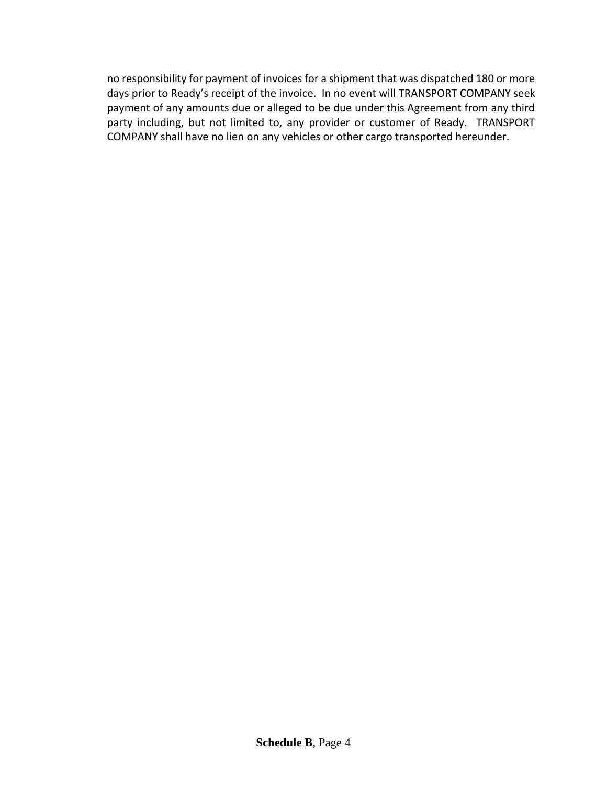no responsibility for payment of invoices for a shipment that was dispatched 180 or more days prior to Ready's receipt of the invoice. In no event will TRANSPORT COMPANY seek payment of any amounts due or alleged to be due under this Agreement from any third party including, but not limited to, any provider or customer of Ready. TRANSPORT COMPANY shall have no lien on any vehicles or other cargo transported hereunder.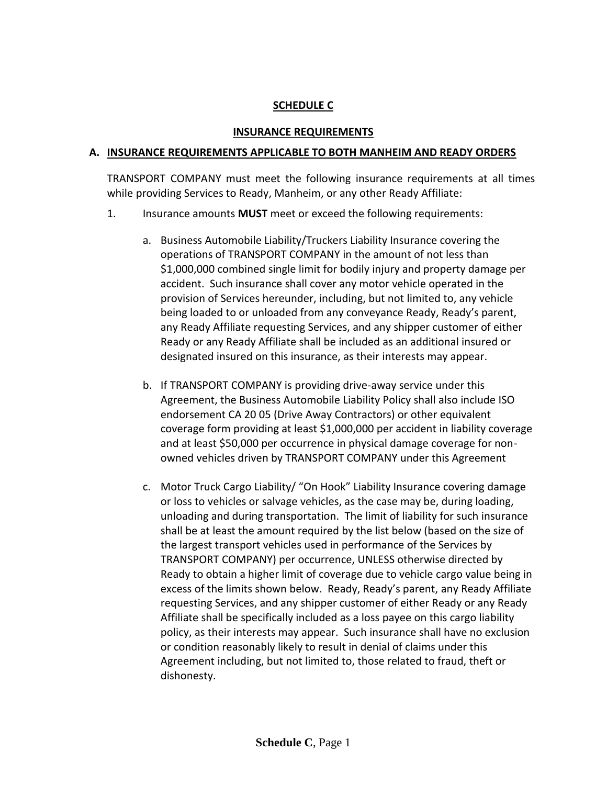### **SCHEDULE C**

#### **INSURANCE REQUIREMENTS**

#### **A. INSURANCE REQUIREMENTS APPLICABLE TO BOTH MANHEIM AND READY ORDERS**

TRANSPORT COMPANY must meet the following insurance requirements at all times while providing Services to Ready, Manheim, or any other Ready Affiliate:

- 1. Insurance amounts **MUST** meet or exceed the following requirements:
	- a. Business Automobile Liability/Truckers Liability Insurance covering the operations of TRANSPORT COMPANY in the amount of not less than \$1,000,000 combined single limit for bodily injury and property damage per accident. Such insurance shall cover any motor vehicle operated in the provision of Services hereunder, including, but not limited to, any vehicle being loaded to or unloaded from any conveyance Ready, Ready's parent, any Ready Affiliate requesting Services, and any shipper customer of either Ready or any Ready Affiliate shall be included as an additional insured or designated insured on this insurance, as their interests may appear.
	- b. If TRANSPORT COMPANY is providing drive-away service under this Agreement, the Business Automobile Liability Policy shall also include ISO endorsement CA 20 05 (Drive Away Contractors) or other equivalent coverage form providing at least \$1,000,000 per accident in liability coverage and at least \$50,000 per occurrence in physical damage coverage for nonowned vehicles driven by TRANSPORT COMPANY under this Agreement
	- c. Motor Truck Cargo Liability/ "On Hook" Liability Insurance covering damage or loss to vehicles or salvage vehicles, as the case may be, during loading, unloading and during transportation. The limit of liability for such insurance shall be at least the amount required by the list below (based on the size of the largest transport vehicles used in performance of the Services by TRANSPORT COMPANY) per occurrence, UNLESS otherwise directed by Ready to obtain a higher limit of coverage due to vehicle cargo value being in excess of the limits shown below. Ready, Ready's parent, any Ready Affiliate requesting Services, and any shipper customer of either Ready or any Ready Affiliate shall be specifically included as a loss payee on this cargo liability policy, as their interests may appear. Such insurance shall have no exclusion or condition reasonably likely to result in denial of claims under this Agreement including, but not limited to, those related to fraud, theft or dishonesty.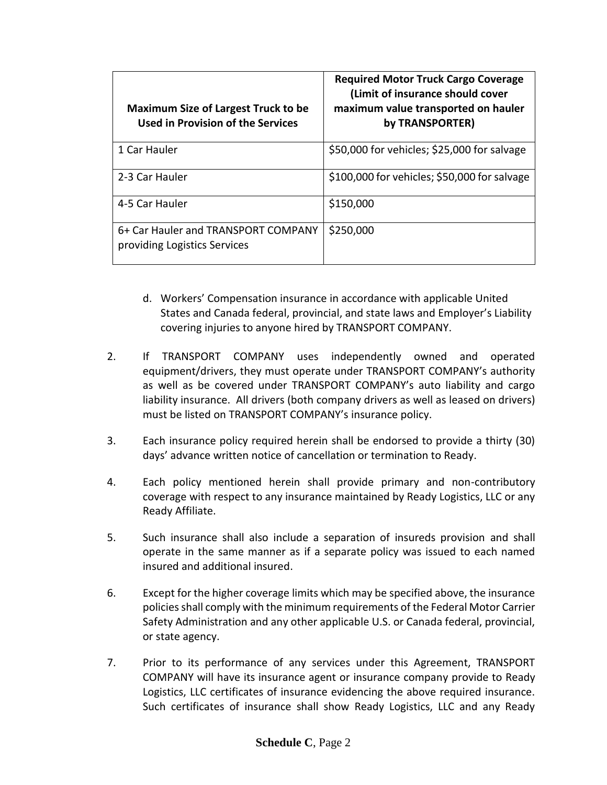| <b>Maximum Size of Largest Truck to be</b><br>Used in Provision of the Services | <b>Required Motor Truck Cargo Coverage</b><br>(Limit of insurance should cover<br>maximum value transported on hauler<br>by TRANSPORTER) |
|---------------------------------------------------------------------------------|------------------------------------------------------------------------------------------------------------------------------------------|
| 1 Car Hauler                                                                    | \$50,000 for vehicles; \$25,000 for salvage                                                                                              |
| 2-3 Car Hauler                                                                  | \$100,000 for vehicles; \$50,000 for salvage                                                                                             |
| 4-5 Car Hauler                                                                  | \$150,000                                                                                                                                |
| 6+ Car Hauler and TRANSPORT COMPANY<br>providing Logistics Services             | \$250,000                                                                                                                                |

- d. Workers' Compensation insurance in accordance with applicable United States and Canada federal, provincial, and state laws and Employer's Liability covering injuries to anyone hired by TRANSPORT COMPANY.
- 2. If TRANSPORT COMPANY uses independently owned and operated equipment/drivers, they must operate under TRANSPORT COMPANY's authority as well as be covered under TRANSPORT COMPANY's auto liability and cargo liability insurance. All drivers (both company drivers as well as leased on drivers) must be listed on TRANSPORT COMPANY's insurance policy.
- 3. Each insurance policy required herein shall be endorsed to provide a thirty (30) days' advance written notice of cancellation or termination to Ready.
- 4. Each policy mentioned herein shall provide primary and non-contributory coverage with respect to any insurance maintained by Ready Logistics, LLC or any Ready Affiliate.
- 5. Such insurance shall also include a separation of insureds provision and shall operate in the same manner as if a separate policy was issued to each named insured and additional insured.
- 6. Except for the higher coverage limits which may be specified above, the insurance policies shall comply with the minimum requirements of the Federal Motor Carrier Safety Administration and any other applicable U.S. or Canada federal, provincial, or state agency.
- 7. Prior to its performance of any services under this Agreement, TRANSPORT COMPANY will have its insurance agent or insurance company provide to Ready Logistics, LLC certificates of insurance evidencing the above required insurance. Such certificates of insurance shall show Ready Logistics, LLC and any Ready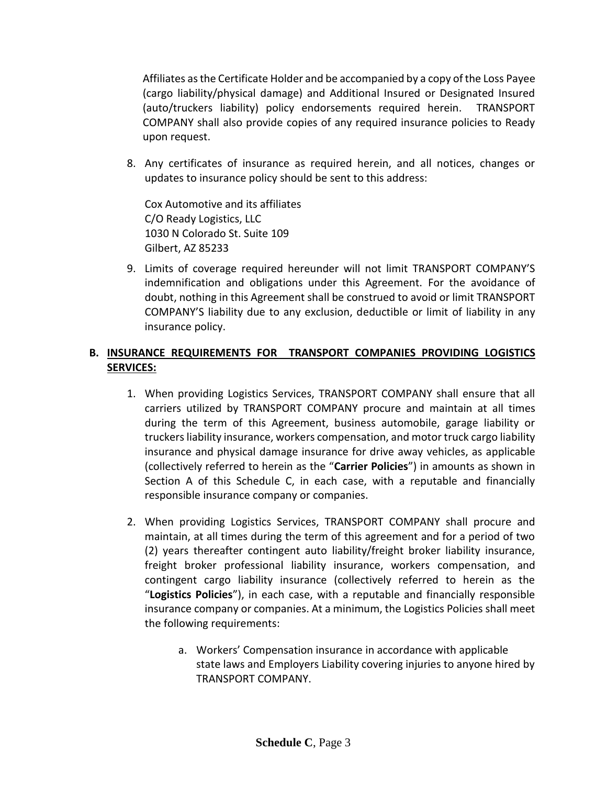Affiliates as the Certificate Holder and be accompanied by a copy of the Loss Payee (cargo liability/physical damage) and Additional Insured or Designated Insured (auto/truckers liability) policy endorsements required herein. TRANSPORT COMPANY shall also provide copies of any required insurance policies to Ready upon request.

8. Any certificates of insurance as required herein, and all notices, changes or updates to insurance policy should be sent to this address:

Cox Automotive and its affiliates C/O Ready Logistics, LLC 1030 N Colorado St. Suite 109 Gilbert, AZ 85233

9. Limits of coverage required hereunder will not limit TRANSPORT COMPANY'S indemnification and obligations under this Agreement. For the avoidance of doubt, nothing in this Agreement shall be construed to avoid or limit TRANSPORT COMPANY'S liability due to any exclusion, deductible or limit of liability in any insurance policy.

# **B. INSURANCE REQUIREMENTS FOR TRANSPORT COMPANIES PROVIDING LOGISTICS SERVICES:**

- 1. When providing Logistics Services, TRANSPORT COMPANY shall ensure that all carriers utilized by TRANSPORT COMPANY procure and maintain at all times during the term of this Agreement, business automobile, garage liability or truckers liability insurance, workers compensation, and motor truck cargo liability insurance and physical damage insurance for drive away vehicles, as applicable (collectively referred to herein as the "**Carrier Policies**") in amounts as shown in Section A of this Schedule C, in each case, with a reputable and financially responsible insurance company or companies.
- 2. When providing Logistics Services, TRANSPORT COMPANY shall procure and maintain, at all times during the term of this agreement and for a period of two (2) years thereafter contingent auto liability/freight broker liability insurance, freight broker professional liability insurance, workers compensation, and contingent cargo liability insurance (collectively referred to herein as the "**Logistics Policies**"), in each case, with a reputable and financially responsible insurance company or companies. At a minimum, the Logistics Policies shall meet the following requirements:
	- a. Workers' Compensation insurance in accordance with applicable state laws and Employers Liability covering injuries to anyone hired by TRANSPORT COMPANY.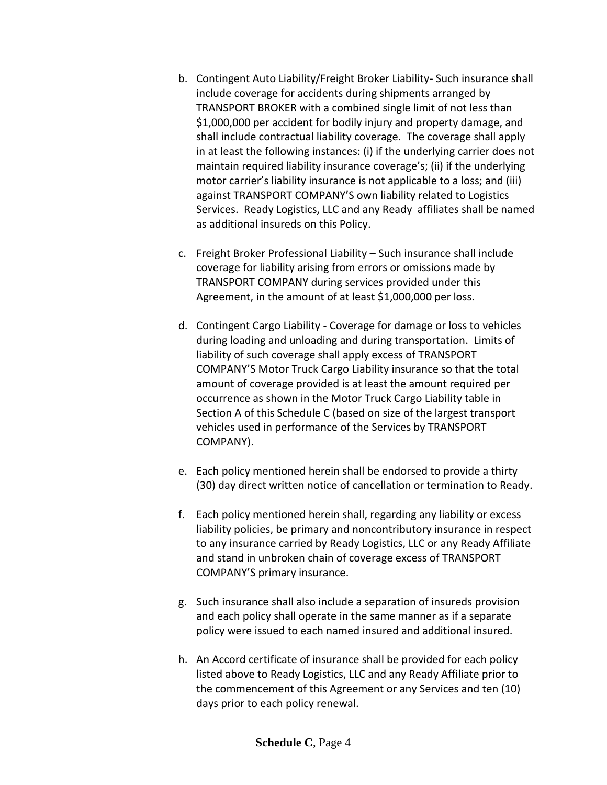- b. Contingent Auto Liability/Freight Broker Liability- Such insurance shall include coverage for accidents during shipments arranged by TRANSPORT BROKER with a combined single limit of not less than \$1,000,000 per accident for bodily injury and property damage, and shall include contractual liability coverage. The coverage shall apply in at least the following instances: (i) if the underlying carrier does not maintain required liability insurance coverage's; (ii) if the underlying motor carrier's liability insurance is not applicable to a loss; and (iii) against TRANSPORT COMPANY'S own liability related to Logistics Services. Ready Logistics, LLC and any Ready affiliates shall be named as additional insureds on this Policy.
- c. Freight Broker Professional Liability Such insurance shall include coverage for liability arising from errors or omissions made by TRANSPORT COMPANY during services provided under this Agreement, in the amount of at least \$1,000,000 per loss.
- d. Contingent Cargo Liability Coverage for damage or loss to vehicles during loading and unloading and during transportation. Limits of liability of such coverage shall apply excess of TRANSPORT COMPANY'S Motor Truck Cargo Liability insurance so that the total amount of coverage provided is at least the amount required per occurrence as shown in the Motor Truck Cargo Liability table in Section A of this Schedule C (based on size of the largest transport vehicles used in performance of the Services by TRANSPORT COMPANY).
- e. Each policy mentioned herein shall be endorsed to provide a thirty (30) day direct written notice of cancellation or termination to Ready.
- f. Each policy mentioned herein shall, regarding any liability or excess liability policies, be primary and noncontributory insurance in respect to any insurance carried by Ready Logistics, LLC or any Ready Affiliate and stand in unbroken chain of coverage excess of TRANSPORT COMPANY'S primary insurance.
- g. Such insurance shall also include a separation of insureds provision and each policy shall operate in the same manner as if a separate policy were issued to each named insured and additional insured.
- h. An Accord certificate of insurance shall be provided for each policy listed above to Ready Logistics, LLC and any Ready Affiliate prior to the commencement of this Agreement or any Services and ten (10) days prior to each policy renewal.